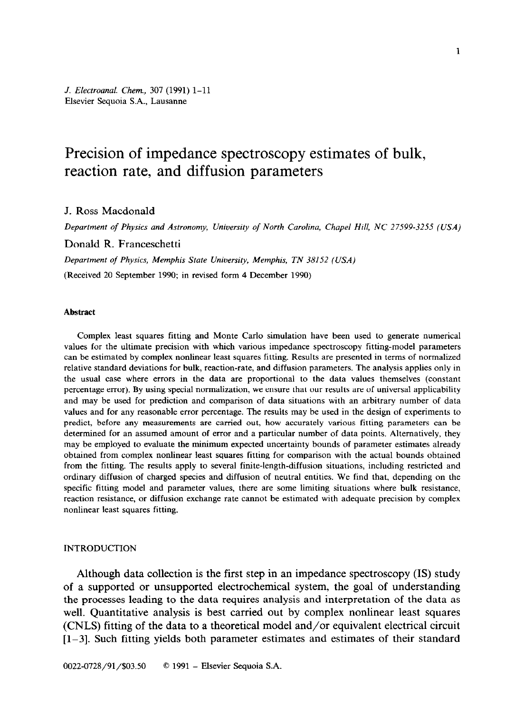*J. Electroanal. Chem., 307* (1991) 1-11 Elsevier Sequoia S.A., Lausanne

# Precision of impedance spectroscopy estimates of bulk, reaction rate, and diffusion parameters

J. Ross Macdonald

*Department of Physics and Astronomy, University of North Carolina, Chapel Hill, NC 27599-3255 (USA)* 

Donald R. Franceschetti

*Department of Physics, Memphis State University, Memphis, TN 38152 (USA)* 

(Received 20 September 1990; in revised form 4 December 1990)

#### **Abstract**

Complex least squares fitting and Monte Carlo simulation have been used to generate numerical values for the ultimate precision with which various impedance spectroscopy fitting-model parameters can be estimated by complex nonlinear least squares fitting. Results are presented in terms of normalized relative standard deviations for bulk, reaction-rate, and diffusion parameters. The analysis applies only in the usual case where errors in the data are proportional to the data values themselves (constant percentage error). By using special normalization, we ensure that our results are of universal applicability and may be used for prediction and comparison of data situations with an arbitrary number of data values and for any reasonable error percentage. The results may be used in the design of experiments to predict, before any measurements are carried out, how accurately various fitting parameters can be determined for an assumed amount of error and a particular number of data points. Alternatively, they may be employed to evaluate the minimum expected uncertainty bounds of parameter estimates already obtained from complex nonlinear least squares fitting for comparison with the actual bounds obtained from the fitting. The results apply to several finite-length-diffusion situations, including restricted and ordinary diffusion of charged species and diffusion of neutral entities. We find that, depending on the specific fitting model and parameter values, there are some limiting situations where bulk resistance, reaction resistance, or diffusion exchange rate cannot be estimated with adequate precision by complex nonlinear least squares fitting.

# INTRODUCTION

Although data collection is the first step in an impedance spectroscopy (IS) study of a supported or unsupported electrochemical system, the goal of understanding the processes leading to the data requires analysis and interpretation of the data as well. Quantitative analysis is best carried out by complex nonlinear least squares (CNLS) fitting of the data to a theoretical model and/or equivalent electrical circuit  $[1-3]$ . Such fitting yields both parameter estimates and estimates of their standard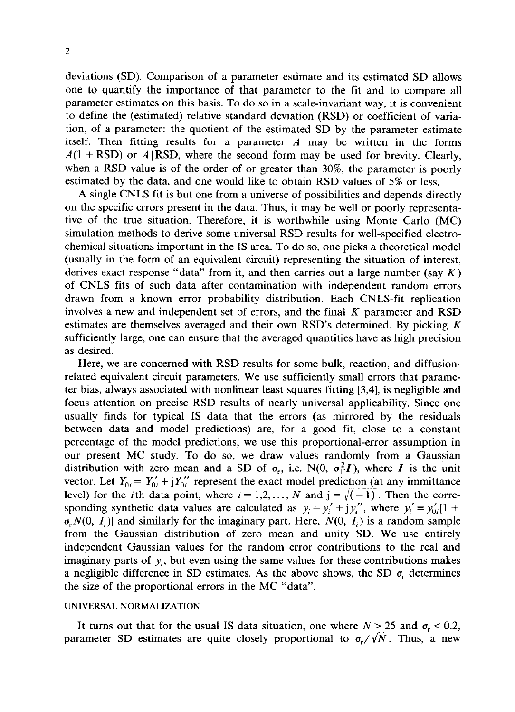deviations (SD). Comparison of a parameter estimate and its estimated SD allows one to quantify the importance of that parameter to the fit and to compare all parameter estimates on this basis. To do so in a scale-invariant way, it is convenient to define the (estimated) relative standard deviation (RSD) or coefficient of variation, of a parameter: the quotient of the estimated SD by the parameter estimate itself. Then fitting results for a parameter *A* may be written in the forms  $A(1 \pm RSD)$  or  $A | RSD$ , where the second form may be used for brevity. Clearly, when a RSD value is of the order of or greater than 30%, the parameter is poorly estimated by the data, and one would like to obtain RSD values of 5% or less.

A single CNLS fit is but one from a universe of possibilities and depends directly on the specific errors present in the data. Thus, it may be well or poorly representative of the true situation. Therefore, it is worthwhile using Monte Carlo (MC) simulation methods to derive some universal RSD results for well-specified electrochemical situations important in the IS area. To do so, one picks a theoretical model (usually in the form of an equivalent circuit) representing the situation of interest, derives exact response "data" from it, and then carries out a large number (say  $K$ ) of CNLS fits of such data after contamination with independent random errors drawn from a known error probability distribution. Each CNLS-fit replication involves a new and independent set of errors, and the final  $K$  parameter and RSD estimates are themselves averaged and their own RSD's determined. By picking K sufficiently large, one can ensure that the averaged quantities have as high precision as desired.

Here, we are concerned with RSD results for some bulk, reaction, and diffusionrelated equivalent circuit parameters. We use sufficiently small errors that parameter bias, always associated with nonlinear least squares fitting [3,4], is negligible and focus attention on precise RSD results of nearly universal applicability. Since one usually finds for typical IS data that the errors (as mirrored by the residuals between data and model predictions) are, for a good fit, close to a constant percentage of the model predictions, we use this proportional-error assumption in our present MC study. To do so, we draw values randomly from a Gaussian distribution with zero mean and a SD of  $\sigma_r$ , i.e. N(0,  $\sigma_{\Gamma}^2 I$ ), where I is the unit vector. Let  $Y_{0i} = Y'_{0i} + jY''_{0i}$  represent the exact model prediction (at any immittance level) for the *i*th data point, where  $i = 1, 2, ..., N$  and  $j = \sqrt{(-1)}$ . Then the corresponding synthetic data values are calculated as  $y_i = y'_i + jy''_i$ , where  $y'_i \equiv y'_{0i}[1 + j]$  $\sigma_r N(0, I_i)$ ] and similarly for the imaginary part. Here,  $N(0, I_i)$  is a random sample from the Gaussian distribution of zero mean and unity SD. We use entirely independent Gaussian values for the random error contributions to the real and imaginary parts of  $y_i$ , but even using the same values for these contributions makes a negligible difference in SD estimates. As the above shows, the SD  $\sigma$ <sub>r</sub> determines the size of the proportional errors in the MC "data".

# **UNIVERSAL NORMALIZATION**

It turns out that for the usual IS data situation, one where  $N > 25$  and  $\sigma_r < 0.2$ , parameter SD estimates are quite closely proportional to  $\sigma_r/\sqrt{N}$ . Thus, a new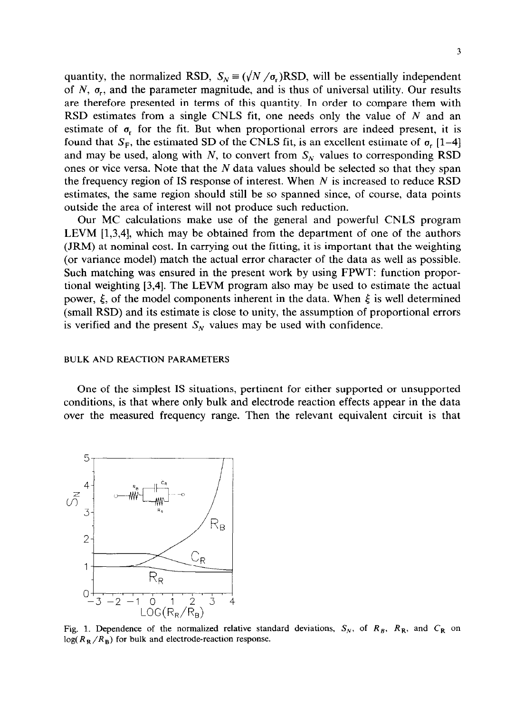quantity, the normalized RSD,  $S_N = (\sqrt{N}/\sigma_r)RSD$ , will be essentially independent of  $N$ ,  $\sigma_r$ , and the parameter magnitude, and is thus of universal utility. Our results are therefore presented in terms of this quantity. In order to compare them with RSD estimates from a single CNLS fit, one needs only the value of  $N$  and an estimate of  $\sigma_r$  for the fit. But when proportional errors are indeed present, it is found that  $S_F$ , the estimated SD of the CNLS fit, is an excellent estimate of  $\sigma_r$  [1–4] and may be used, along with  $N$ , to convert from  $S_N$  values to corresponding RSD ones or vice versa. Note that the  $N$  data values should be selected so that they span the frequency region of IS response of interest. When  $N$  is increased to reduce RSD estimates, the same region should still be so spanned since, of course, data points outside the area of interest will not produce such reduction.

Our MC calculations make use of the general and powerful CNLS program LEVM [1,3,4], which may be obtained from the department of one of the authors (JRM) at nominal cost. In carrying out the fitting, it is important that the weighting (or variance model) match the actual error character of the data as well as possible. Such matching was ensured in the present work by using FPWT: function proportional weighting [3,4]. The LEVM program also may be used to estimate the actual power,  $\xi$ , of the model components inherent in the data. When  $\xi$  is well determined (small RSD) and its estimate is close to unity, the assumption of proportional errors is verified and the present  $S_N$  values may be used with confidence.

### **BULK AND REACTION PARAMETERS**

One of the simplest IS situations, pertinent for either supported or unsupported conditions, is that where only bulk and electrode reaction effects appear in the data over the measured frequency range. Then the relevant equivalent circuit is that



Fig. 1. Dependence of the normalized relative standard deviations,  $S_N$ , of  $R_B$ ,  $R_R$ , and  $C_R$  on  $log(R_R/R_B)$  for bulk and electrode-reaction response.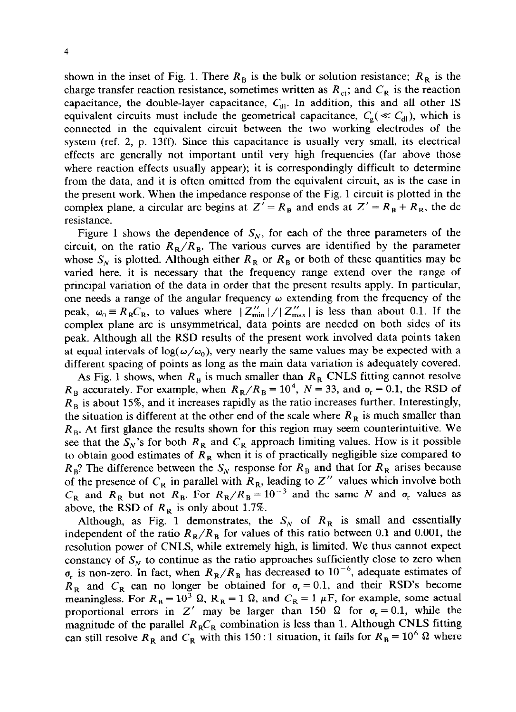shown in the inset of Fig. 1. There  $R_B$  is the bulk or solution resistance;  $R_R$  is the charge transfer reaction resistance, sometimes written as  $R_{\rm ct}$ ; and  $C_R$  is the reaction capacitance, the double-layer capacitance,  $C_{d1}$ . In addition, this and all other IS equivalent circuits must include the geometrical capacitance,  $C_e \ll C_{d}$ ), which is connected in the equivalent circuit between the two working electrodes of the system (ref. 2, p. 13ff). Since this capacitance is usually very small, its electrical effects are generally not important until very high frequencies (far above those where reaction effects usually appear); it is correspondingly difficult to determine from the data, and it is often omitted from the equivalent circuit, as is the case in the present work. When the impedance response of the Fig. 1 circuit is plotted in the complex plane, a circular arc begins at  $Z' = R_B$  and ends at  $Z' = R_B + R_B$ , the dc resistance.

Figure 1 shows the dependence of  $S_N$ , for each of the three parameters of the circuit, on the ratio  $R_R/R_B$ . The various curves are identified by the parameter whose  $S_N$  is plotted. Although either  $R_R$  or  $R_B$  or both of these quantities may be varied here, it is necessary that the frequency range extend over the range of principal variation of the data in order that the present results apply. In particular, one needs a range of the angular frequency  $\omega$  extending from the frequency of the peak,  $\omega_0 = R_R C_R$ , to values where  $|Z''_{\text{min}}|/|Z''_{\text{max}}|$  is less than about 0.1. If the complex plane arc is unsymmetrical, data points are needed on both sides of its peak. Although all the RSD results of the present work involved data points taken at equal intervals of  $\log(\omega/\omega_0)$ , very nearly the same values may be expected with a different spacing of points as long as the main data variation is adequately covered.

As Fig. 1 shows, when  $R_B$  is much smaller than  $R_R$  CNLS fitting cannot resolve  $R_B$  accurately. For example, when  $R_R/R_B = 10^4$ ,  $N = 33$ , and  $\sigma_r = 0.1$ , the RSD of  $R<sub>B</sub>$  is about 15%, and it increases rapidly as the ratio increases further. Interestingly, the situation is different at the other end of the scale where  $R<sub>R</sub>$  is much smaller than *R,.* At first glance the results shown for this region may seem counterintuitive. We see that the  $S_N$ 's for both  $R_R$  and  $C_R$  approach limiting values. How is it possible to obtain good estimates of  $R_R$  when it is of practically negligible size compared to  $R_B$ ? The difference between the  $S_N$  response for  $R_B$  and that for  $R_R$  arises because of the presence of  $C_R$  in parallel with  $R_R$ , leading to Z'' values which involve both  $C_R$  and  $R_R$  but not  $R_R$ . For  $R_R/R_B = 10^{-3}$  and the same N and  $\sigma_r$  values as above, the RSD of  $R_R$  is only about 1.7%.

Although, as Fig. 1 demonstrates, the  $S_N$  of  $R_R$  is small and essentially independent of the ratio  $R_R/R_B$  for values of this ratio between 0.1 and 0.001, the resolution power of CNLS, while extremely high, is limited. We thus cannot expect constancy of  $S_N$  to continue as the ratio approaches sufficiently close to zero when  $\sigma_r$  is non-zero. In fact, when  $R_R/R_B$  has decreased to 10<sup>-6</sup>, adequate estimates of  $R_R$  and  $C_R$  can no longer be obtained for  $\sigma_r = 0.1$ , and their RSD's become meaningless. For  $R_B = 10^3 \Omega$ ,  $R_R = 1 \Omega$ , and  $C_R = 1 \mu$ F, for example, some actual proportional errors in Z' may be larger than 150  $\Omega$  for  $\sigma_r = 0.1$ , while the magnitude of the parallel  $R_R C_R$  combination is less than 1. Although CNLS fitting can still resolve  $R_R$  and  $C_R$  with this 150 : 1 situation, it fails for  $R_B = 10^6 \Omega$  where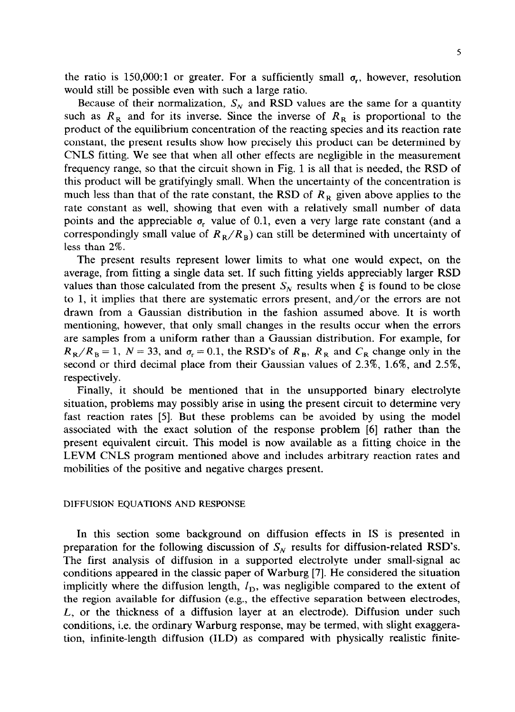the ratio is 150,000:1 or greater. For a sufficiently small  $\sigma_r$ , however, resolution would still be possible even with such a large ratio.

Because of their normalization,  $S_N$  and RSD values are the same for a quantity such as  $R_R$  and for its inverse. Since the inverse of  $R_R$  is proportional to the product of the equilibrium concentration of the reacting species and its reaction rate constant, the present results show how precisely this product can be determined by CNLS fitting. We see that when all other effects are negligible in the measurement frequency range, so that the circuit shown in Fig. 1 is all that is needed, the RSD of this product will be gratifyingly small. When the uncertainty of the concentration is much less than that of the rate constant, the RSD of  $R<sub>R</sub>$  given above applies to the rate constant as well, showing that even with a relatively small number of data points and the appreciable  $\sigma_r$  value of 0.1, even a very large rate constant (and a correspondingly small value of  $R_R/R_B$ ) can still be determined with uncertainty of less than 2%.

The present results represent lower limits to what one would expect, on the average, from fitting a single data set. If such fitting yields appreciably larger RSD values than those calculated from the present  $S_N$  results when  $\xi$  is found to be close to 1, it implies that there are systematic errors present, and/or the errors are not drawn from a Gaussian distribution in the fashion assumed above. It is worth mentioning, however, that only small changes in the results occur when the errors are samples from a uniform rather than a Gaussian distribution. For example, for  $R_R/R_B = 1$ ,  $N = 33$ , and  $\sigma_r = 0.1$ , the RSD's of  $R_B$ ,  $R_R$  and  $C_R$  change only in the second or third decimal place from their Gaussian values of  $2.3\%$ ,  $1.6\%$ , and  $2.5\%$ , respectively.

Finally, it should be mentioned that in the unsupported binary electrolyte situation, problems may possibly arise in using the present circuit to determine very fast reaction rates [5]. But these problems can be avoided by using the model associated with the exact solution of the response problem [6] rather than the present equivalent circuit. This model is now available as a fitting choice in the LEVM CNLS program mentioned above and includes arbitrary reaction rates and mobilities of the positive and negative charges present.

# **DIFFUSION EQUATIONS AND RESPONSE**

In this section some background on diffusion effects in IS is presented in preparation for the following discussion of  $S_N$  results for diffusion-related RSD's. The first analysis of diffusion in a supported electrolyte under small-signal ac conditions appeared in the classic paper of Warburg [7]. He considered the situation implicitly where the diffusion length,  $I<sub>D</sub>$ , was negligible compared to the extent of the region available for diffusion (e.g., the effective separation between electrodes, *L,* or the thickness of a diffusion layer at an electrode). Diffusion under such conditions, i.e. the ordinary Warburg response, may be termed, with slight exaggeration, infinite-length diffusion (ILD) as compared with physically realistic finite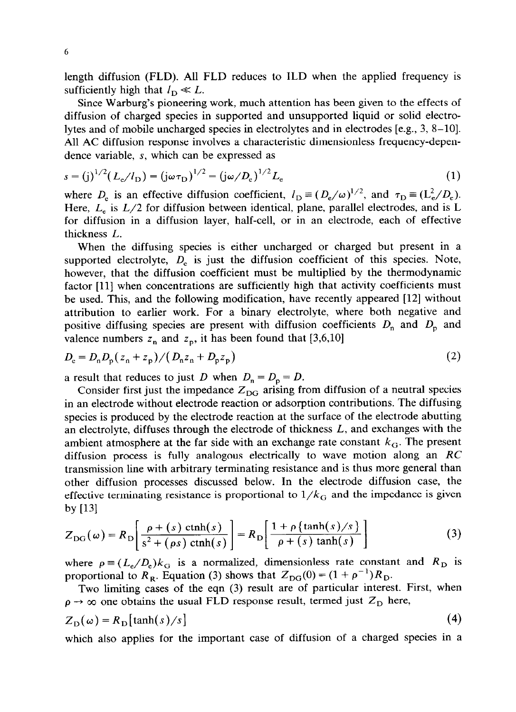length diffusion (FLD). All FLD reduces to ILD when the applied frequency is sufficiently high that  $l_{\rm D} \ll L$ .

Since Warburg's pioneering work, much attention has been given to the effects of diffusion of charged species in supported and unsupported liquid or solid electrolytes and of mobile uncharged species in electrolytes and in electrodes [e.g., 3, 8-101. All AC diffusion response involves a characteristic dimensionless frequency-dependence variable, s, which can be expressed as

$$
s = (j)^{1/2} (L_e / l_D) = (j\omega \tau_D)^{1/2} = (j\omega / D_e)^{1/2} L_e
$$
 (1)

where  $D_e$  is an effective diffusion coefficient,  $I_D = (D_e/\omega)^{1/2}$ , and  $\tau_D = (L_e^2/D_e)$ . Here,  $L_e$  is  $L/2$  for diffusion between identical, plane, parallel electrodes, and is L for diffusion in a diffusion layer, half-cell, or in an electrode, each of effective thickness *L.* 

When the diffusing species is either uncharged or charged but present in a supported electrolyte,  $D_e$  is just the diffusion coefficient of this species. Note, however, that the diffusion coefficient must be multiplied by the thermodynamic factor [ll] when concentrations are sufficiently high that activity coefficients must be used. This, and the following modification, have recently appeared [12] without attribution to earlier work. For a binary electrolyte, where both negative and positive diffusing species are present with diffusion coefficients  $D_n$  and  $D_p$  and valence numbers  $z_n$  and  $z_p$ , it has been found that [3,6,10]

$$
D_{\rm e} = D_{\rm n} D_{\rm p} (z_{\rm n} + z_{\rm p}) / (D_{\rm n} z_{\rm n} + D_{\rm p} z_{\rm p})
$$
 (2)

a result that reduces to just *D* when  $D_n = D_p = D$ .

Consider first just the impedance  $Z_{\text{DG}}$  arising from diffusion of a neutral species in an electrode without electrode reaction or adsorption contributions. The diffusing species is produced by the electrode reaction at the surface of the electrode abutting an electrolyte, diffuses through the electrode of thickness *L,* and exchanges with the ambient atmosphere at the far side with an exchange rate constant  $k<sub>G</sub>$ . The present diffusion process is fully analogous electrically to wave motion along an *RC*  transmission line with arbitrary terminating resistance and is thus more general than other diffusion processes discussed below. In the electrode diffusion case, the effective terminating resistance is proportional to  $1/k<sub>G</sub>$  and the impedance is given by  $[13]$ 

by [13]  
\n
$$
Z_{DG}(\omega) = R_D \left[ \frac{\rho + (s) \ \text{ctnh}(s)}{s^2 + (\rho s) \ \text{ctnh}(s)} \right] = R_D \left[ \frac{1 + \rho \left\{ \tanh(s)/s \right\}}{\rho + (s) \ \text{tanh}(s)} \right]
$$
\n(3)

where  $\rho = (L_e/D_e)k_G$  is a normalized, dimensionless rate constant and  $R_D$  is proportional to  $R_R$ . Equation (3) shows that  $Z_{DG}(0) = (1 + \rho^{-1})R_D$ .

Two limiting cases of the eqn (3) result are of particular interest. First, when  $\rho \rightarrow \infty$  one obtains the usual FLD response result, termed just  $Z_{\text{D}}$  here,  $Z_{\text{D}}(\omega) = R_{\text{D}}[\tanh(s)/s]$  (4)

which also applies for the important case of diffusion of a charged species in a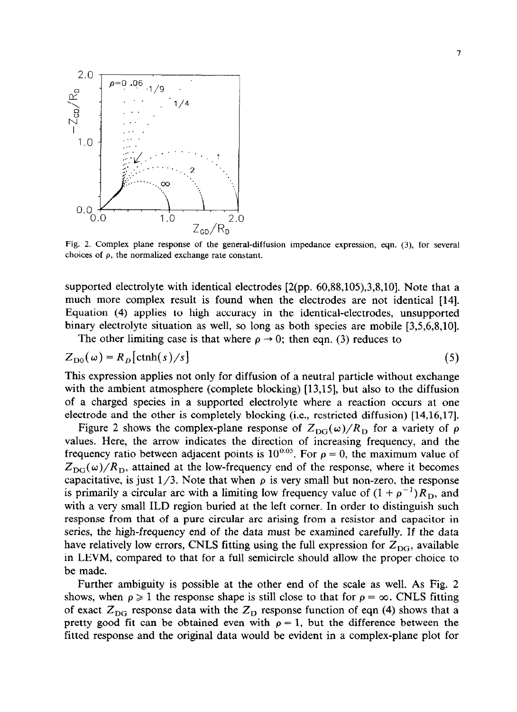

Fig. 2. Complex plane response of the general-diffusion impedance expression, eqn. (3), for several choices of  $\rho$ , the normalized exchange rate constant.

supported electrolyte with identical electrodes [2(pp. 60,88,105),3,8,10]. Note that a much more complex result is found when the electrodes are not identical [14]. Equation (4) applies to high accuracy in the identical-electrodes, unsupported binary electrolyte situation as well, so long as both species are mobile [3,5,6,8,10].

The other limiting case is that where  $\rho \rightarrow 0$ ; then eqn. (3) reduces to

$$
Z_{D0}(\omega) = R_D[\text{ctnh}(s)/s] \tag{5}
$$

This expression applies not only for diffusion of a neutral particle without exchange with the ambient atmosphere (complete blocking) [13,15], but also to the diffusion of a charged species in a supported electrolyte where a reaction occurs at one electrode and the other is completely blocking (i.e., restricted diffusion) [14,16,17].

Figure 2 shows the complex-plane response of  $Z_{DG}(\omega)/R_{D}$  for a variety of  $\rho$ values. Here, the arrow indicates the direction of increasing frequency, and the frequency ratio between adjacent points is  $10^{0.05}$ . For  $\rho = 0$ , the maximum value of  $Z_{DG}(\omega)/R_D$ , attained at the low-frequency end of the response, where it becomes capacitative, is just  $1/3$ . Note that when  $\rho$  is very small but non-zero, the response is primarily a circular arc with a limiting low frequency value of  $(1 + \rho^{-1})R_D$ , and with a very small ILD region buried at the left comer. In order to distinguish such response from that of a pure circular arc arising from a resistor and capacitor in series, the high-frequency end of the data must be examined carefully. If the data have relatively low errors, CNLS fitting using the full expression for  $Z_{DG}$ , available in LEVM, compared to that for a full semicircle should allow the proper choice to be made.

Further ambiguity is possible at the other end of the scale as well. As Fig. 2 shows, when  $\rho \geq 1$  the response shape is still close to that for  $\rho = \infty$ . CNLS fitting of exact  $Z_{\text{DG}}$  response data with the  $Z_{\text{D}}$  response function of eqn (4) shows that a pretty good fit can be obtained even with  $\rho = 1$ , but the difference between the fitted response and the original data would be evident in a complex-plane plot for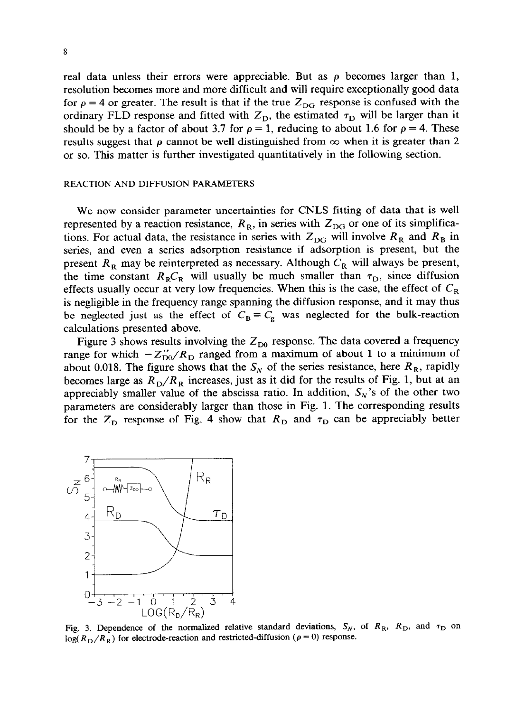real data unless their errors were appreciable. But as  $\rho$  becomes larger than 1, resolution becomes more and more difficult and will require exceptionally good data for  $\rho = 4$  or greater. The result is that if the true  $Z_{DG}$  response is confused with the ordinary FLD response and fitted with  $Z_{\text{D}}$ , the estimated  $\tau_{\text{D}}$  will be larger than it should be by a factor of about 3.7 for  $\rho = 1$ , reducing to about 1.6 for  $\rho = 4$ . These results suggest that  $\rho$  cannot be well distinguished from  $\infty$  when it is greater than 2 or so. This matter is further investigated quantitatively in the following section.

#### REACTION AND DIFFUSION PARAMETERS

We now consider parameter uncertainties for CNLS fitting of data that is well represented by a reaction resistance,  $R_R$ , in series with  $Z_{DG}$  or one of its simplifications. For actual data, the resistance in series with  $Z_{DG}$  will involve  $R_R$  and  $R_B$  in series, and even a series adsorption resistance if adsorption is present, but the present  $R_R$  may be reinterpreted as necessary. Although  $C_R$  will always be present, the time constant  $R_R C_R$  will usually be much smaller than  $\tau_D$ , since diffusion effects usually occur at very low frequencies. When this is the case, the effect of  $C_R$ is negligible in the frequency range spanning the diffusion response, and it may thus be neglected just as the effect of  $C_B \equiv C_g$  was neglected for the bulk-reaction calculations presented above.

Figure 3 shows results involving the  $Z_{\text{D}0}$  response. The data covered a frequency range for which  $-Z_{D0}''/R_D$  ranged from a maximum of about 1 to a minimum of about 0.018. The figure shows that the  $S_N$  of the series resistance, here  $R_R$ , rapidly becomes large as  $R_D/R_R$  increases, just as it did for the results of Fig. 1, but at an appreciably smaller value of the abscissa ratio. In addition,  $S_N$ 's of the other two parameters are considerably larger than those in Fig. 1. The corresponding results for the  $Z<sub>D</sub>$  response of Fig. 4 show that  $R<sub>D</sub>$  and  $\tau<sub>D</sub>$  can be appreciably better



Fig. 3. Dependence of the normalized relative standard deviations,  $S_N$ , of  $R_R$ ,  $R_D$ , and  $\tau_D$  on  $log(R_D/R_R)$  for electrode-reaction and restricted-diffusion ( $\rho = 0$ ) response.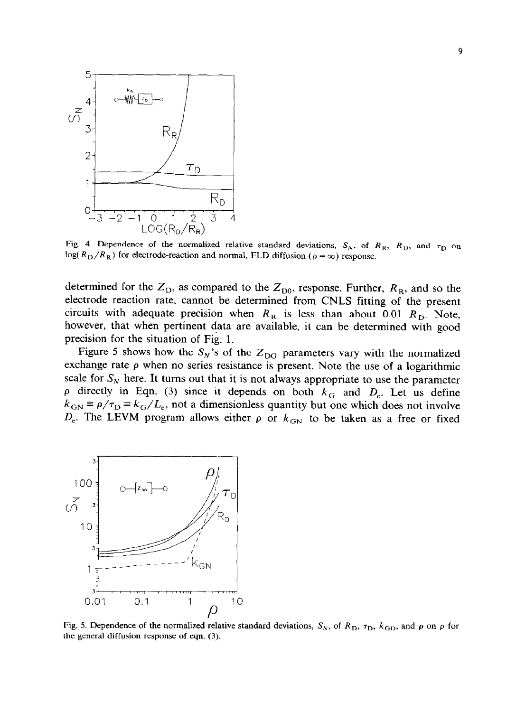

Fig. 4. Dependence of the normalized relative standard deviations,  $S_N$ , of  $R_R$ ,  $R_D$ , and  $\tau_D$  on  $log(R_D/R_R)$  for electrode-reaction and normal, FLD diffusion ( $\rho = \infty$ ) response.

determined for the  $Z_{\text{D}}$ , as compared to the  $Z_{\text{D}0}$ , response. Further,  $R_{\text{R}}$ , and so the electrode reaction rate, cannot be determined from CNLS fitting of the present circuits with adequate precision when  $R_R$  is less than about 0.01  $R_D$ . Note, however, that when pertinent data are available, it can be determined with good precision for the situation of Fig. 1.

Figure 5 shows how the  $S_N$ 's of the  $Z_{DG}$  parameters vary with the normalized exchange rate  $\rho$  when no series resistance is present. Note the use of a logarithmic scale for  $S_N$  here. It turns out that it is not always appropriate to use the parameter  $\rho$  directly in Eqn. (3) since it depends on both  $k_G$  and  $D_e$ . Let us define  $k_{\text{GN}} \equiv \rho/\tau_{\text{D}} = k_{\text{G}}/L_{\text{e}}$ , not a dimensionless quantity but one which does not involve  $D_e$ . The LEVM program allows either  $\rho$  or  $k_{GN}$  to be taken as a free or fixed



Fig. 5. Dependence of the normalized relative standard deviations,  $S_N$ , of  $R_D$ ,  $\tau_D$ ,  $k_{GD}$ , and  $\rho$  on  $\rho$  for the general diffusion response of eqn. (3).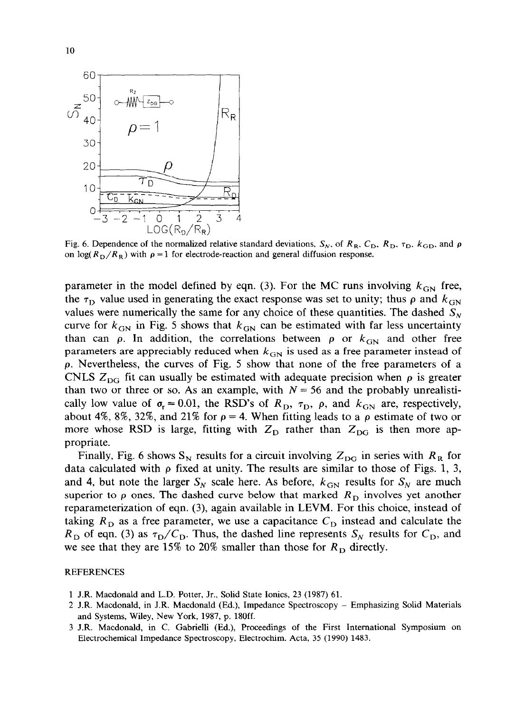

Fig. 6. Dependence of the normalized relative standard deviations,  $S_N$ , of  $R_R$ ,  $C_D$ ,  $R_D$ ,  $\tau_D$ ,  $k_{GD}$ , and  $\rho$ on  $\log(R_{\rm D}/R_{\rm R})$  with  $\rho = 1$  for electrode-reaction and general diffusion response.

parameter in the model defined by eqn. (3). For the MC runs involving  $k_{GN}$  free, the  $\tau_{\rm D}$  value used in generating the exact response was set to unity; thus  $\rho$  and  $k_{\rm GN}$ values were numerically the same for any choice of these quantities. The dashed  $S_N$ curve for  $k_{GN}$  in Fig. 5 shows that  $k_{GN}$  can be estimated with far less uncertainty than can  $\rho$ . In addition, the correlations between  $\rho$  or  $k_{GN}$  and other free parameters are appreciably reduced when  $k_{GN}$  is used as a free parameter instead of p. Nevertheless, the curves of Fig. 5 show that none of the free parameters of a CNLS  $Z_{DG}$  fit can usually be estimated with adequate precision when  $\rho$  is greater than two or three or so. As an example, with  $N = 56$  and the probably unrealistically low value of  $\sigma_r = 0.01$ , the RSD's of  $R_D$ ,  $\tau_D$ ,  $\rho$ , and  $k_{GN}$  are, respectively, about 4%, 8%, 32%, and 21% for  $\rho = 4$ . When fitting leads to a  $\rho$  estimate of two or more whose RSD is large, fitting with  $Z_{\rm D}$  rather than  $Z_{\rm DG}$  is then more appropriate.

Finally, Fig. 6 shows  $S_N$  results for a circuit involving  $Z_{DG}$  in series with  $R_R$  for data calculated with  $\rho$  fixed at unity. The results are similar to those of Figs. 1, 3, and 4, but note the larger  $S_N$  scale here. As before,  $k_{GN}$  results for  $S_N$  are much superior to  $\rho$  ones. The dashed curve below that marked  $R<sub>D</sub>$  involves yet another reparameterization of eqn. (3), again available in LEVM. For this choice, instead of taking  $R<sub>D</sub>$  as a free parameter, we use a capacitance  $C<sub>D</sub>$  instead and calculate the  $R<sub>D</sub>$  of eqn. (3) as  $\tau_D/C_D$ . Thus, the dashed line represents  $S_N$  results for  $C_D$ , and we see that they are 15% to 20% smaller than those for  $R<sub>D</sub>$  directly.

#### REFERENCES

- 1 J.R. Macdonald and L.D. Potter, Jr., Solid State Ionics, 23 (1987) 61.
- 2 J.R. Macdonald, in J.R. Macdonald (Ed.), Impedance Spectroscopy Emphasizing Solid Materials and Systems, Wiley, New York, 1987, p. 180ff.
- 3 J.R. Macdonald, in C. Gabrielli (Ed.), Proceedings of the First International Symposium on Electrochemical Impedance Spectroscopy, Electrochim. Acta, 35 (1990) 1483.